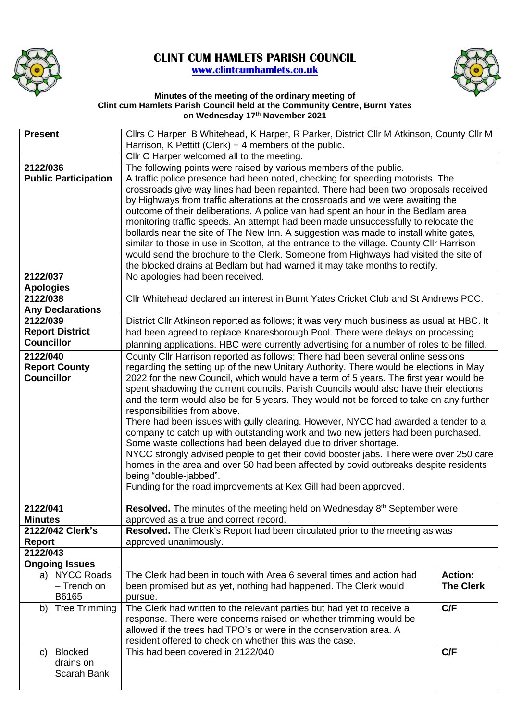

## **CLINT CUM HAMLETS PARISH COUNCIL [www.clintcumhamlets.co.uk](http://www.clintcumhamlets.co.uk/)**



## **Minutes of the meeting of the ordinary meeting of Clint cum Hamlets Parish Council held at the Community Centre, Burnt Yates on Wednesday 17th November 2021**

| <b>Present</b>                | Cllrs C Harper, B Whitehead, K Harper, R Parker, District Cllr M Atkinson, County Cllr M                                                             |                  |  |
|-------------------------------|------------------------------------------------------------------------------------------------------------------------------------------------------|------------------|--|
|                               | Harrison, K Pettitt (Clerk) $+$ 4 members of the public.<br>Cllr C Harper welcomed all to the meeting.                                               |                  |  |
| 2122/036                      | The following points were raised by various members of the public.                                                                                   |                  |  |
| <b>Public Participation</b>   | A traffic police presence had been noted, checking for speeding motorists. The                                                                       |                  |  |
|                               | crossroads give way lines had been repainted. There had been two proposals received                                                                  |                  |  |
|                               | by Highways from traffic alterations at the crossroads and we were awaiting the                                                                      |                  |  |
|                               | outcome of their deliberations. A police van had spent an hour in the Bedlam area                                                                    |                  |  |
|                               | monitoring traffic speeds. An attempt had been made unsuccessfully to relocate the                                                                   |                  |  |
|                               | bollards near the site of The New Inn. A suggestion was made to install white gates,                                                                 |                  |  |
|                               | similar to those in use in Scotton, at the entrance to the village. County Cllr Harrison                                                             |                  |  |
|                               | would send the brochure to the Clerk. Someone from Highways had visited the site of                                                                  |                  |  |
|                               | the blocked drains at Bedlam but had warned it may take months to rectify.                                                                           |                  |  |
| 2122/037                      | No apologies had been received.                                                                                                                      |                  |  |
| <b>Apologies</b>              |                                                                                                                                                      |                  |  |
| 2122/038                      | CIIr Whitehead declared an interest in Burnt Yates Cricket Club and St Andrews PCC.                                                                  |                  |  |
| <b>Any Declarations</b>       |                                                                                                                                                      |                  |  |
| 2122/039                      | District Cllr Atkinson reported as follows; it was very much business as usual at HBC. It                                                            |                  |  |
| <b>Report District</b>        | had been agreed to replace Knaresborough Pool. There were delays on processing                                                                       |                  |  |
| <b>Councillor</b>             | planning applications. HBC were currently advertising for a number of roles to be filled.                                                            |                  |  |
| 2122/040                      | County Cllr Harrison reported as follows; There had been several online sessions                                                                     |                  |  |
| <b>Report County</b>          | regarding the setting up of the new Unitary Authority. There would be elections in May                                                               |                  |  |
| <b>Councillor</b>             | 2022 for the new Council, which would have a term of 5 years. The first year would be                                                                |                  |  |
|                               | spent shadowing the current councils. Parish Councils would also have their elections                                                                |                  |  |
|                               | and the term would also be for 5 years. They would not be forced to take on any further                                                              |                  |  |
|                               | responsibilities from above.<br>There had been issues with gully clearing. However, NYCC had awarded a tender to a                                   |                  |  |
|                               |                                                                                                                                                      |                  |  |
|                               | company to catch up with outstanding work and two new jetters had been purchased.<br>Some waste collections had been delayed due to driver shortage. |                  |  |
|                               | NYCC strongly advised people to get their covid booster jabs. There were over 250 care                                                               |                  |  |
|                               | homes in the area and over 50 had been affected by covid outbreaks despite residents                                                                 |                  |  |
|                               | being "double-jabbed".                                                                                                                               |                  |  |
|                               | Funding for the road improvements at Kex Gill had been approved.                                                                                     |                  |  |
|                               |                                                                                                                                                      |                  |  |
| 2122/041                      | Resolved. The minutes of the meeting held on Wednesday 8 <sup>th</sup> September were                                                                |                  |  |
| <b>Minutes</b>                | approved as a true and correct record.                                                                                                               |                  |  |
| 2122/042 Clerk's              | Resolved. The Clerk's Report had been circulated prior to the meeting as was                                                                         |                  |  |
| <b>Report</b>                 | approved unanimously.                                                                                                                                |                  |  |
| 2122/043                      |                                                                                                                                                      |                  |  |
| <b>Ongoing Issues</b>         |                                                                                                                                                      |                  |  |
| a) NYCC Roads                 | The Clerk had been in touch with Area 6 several times and action had                                                                                 | <b>Action:</b>   |  |
| - Trench on                   | been promised but as yet, nothing had happened. The Clerk would                                                                                      | <b>The Clerk</b> |  |
| B6165<br><b>Tree Trimming</b> | pursue.                                                                                                                                              | C/F              |  |
| b)                            | The Clerk had written to the relevant parties but had yet to receive a<br>response. There were concerns raised on whether trimming would be          |                  |  |
|                               | allowed if the trees had TPO's or were in the conservation area. A                                                                                   |                  |  |
|                               | resident offered to check on whether this was the case.                                                                                              |                  |  |
| <b>Blocked</b><br>C)          | This had been covered in 2122/040                                                                                                                    | C/F              |  |
| drains on                     |                                                                                                                                                      |                  |  |
| Scarah Bank                   |                                                                                                                                                      |                  |  |
|                               |                                                                                                                                                      |                  |  |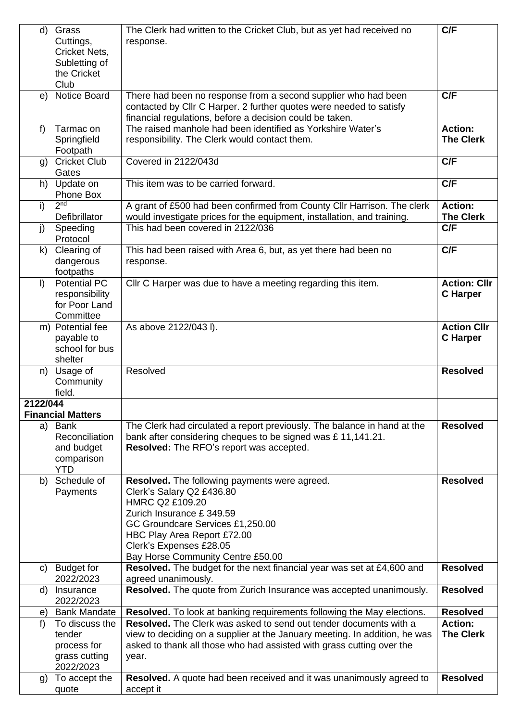| $\mathsf{d}$ | Grass                        | The Clerk had written to the Cricket Club, but as yet had received no                                                   | C/F                 |
|--------------|------------------------------|-------------------------------------------------------------------------------------------------------------------------|---------------------|
|              | Cuttings,                    | response.                                                                                                               |                     |
|              | Cricket Nets,                |                                                                                                                         |                     |
|              | Subletting of                |                                                                                                                         |                     |
|              | the Cricket                  |                                                                                                                         |                     |
|              | Club                         |                                                                                                                         |                     |
| e)           | <b>Notice Board</b>          | There had been no response from a second supplier who had been                                                          | C/F                 |
|              |                              | contacted by Cllr C Harper. 2 further quotes were needed to satisfy                                                     |                     |
|              | Tarmac on                    | financial regulations, before a decision could be taken.<br>The raised manhole had been identified as Yorkshire Water's | <b>Action:</b>      |
| f            | Springfield                  | responsibility. The Clerk would contact them.                                                                           | <b>The Clerk</b>    |
|              | Footpath                     |                                                                                                                         |                     |
| g)           | <b>Cricket Club</b>          | Covered in 2122/043d                                                                                                    | C/F                 |
|              | Gates                        |                                                                                                                         |                     |
| h)           | Update on                    | This item was to be carried forward.                                                                                    | C/F                 |
|              | Phone Box                    |                                                                                                                         |                     |
| i)           | 2 <sub>nd</sub>              | A grant of £500 had been confirmed from County Cllr Harrison. The clerk                                                 | <b>Action:</b>      |
|              | Defibrillator                | would investigate prices for the equipment, installation, and training.                                                 | <b>The Clerk</b>    |
| j)           | Speeding                     | This had been covered in 2122/036                                                                                       | C/F                 |
|              | Protocol                     |                                                                                                                         |                     |
| $\mathsf{k}$ | Clearing of                  | This had been raised with Area 6, but, as yet there had been no                                                         | C/F                 |
|              | dangerous                    | response.                                                                                                               |                     |
|              | footpaths                    |                                                                                                                         |                     |
| $\mathbf{D}$ | <b>Potential PC</b>          | Cllr C Harper was due to have a meeting regarding this item.                                                            | <b>Action: Cllr</b> |
|              | responsibility               |                                                                                                                         | <b>C</b> Harper     |
|              | for Poor Land                |                                                                                                                         |                     |
|              | Committee                    |                                                                                                                         |                     |
|              | m) Potential fee             | As above 2122/043 l).                                                                                                   | <b>Action CIIr</b>  |
|              | payable to<br>school for bus |                                                                                                                         | <b>C</b> Harper     |
|              | shelter                      |                                                                                                                         |                     |
|              | n) Usage of                  | Resolved                                                                                                                | <b>Resolved</b>     |
|              | Community                    |                                                                                                                         |                     |
|              | field.                       |                                                                                                                         |                     |
| 2122/044     |                              |                                                                                                                         |                     |
|              | <b>Financial Matters</b>     |                                                                                                                         |                     |
| a)           | Bank                         | The Clerk had circulated a report previously. The balance in hand at the                                                | <b>Resolved</b>     |
|              | Reconciliation               | bank after considering cheques to be signed was £11,141.21.                                                             |                     |
|              | and budget                   | Resolved: The RFO's report was accepted.                                                                                |                     |
|              | comparison                   |                                                                                                                         |                     |
|              | <b>YTD</b>                   |                                                                                                                         |                     |
| b)           | Schedule of                  | Resolved. The following payments were agreed.                                                                           | <b>Resolved</b>     |
|              | Payments                     | Clerk's Salary Q2 £436.80<br>HMRC Q2 £109.20                                                                            |                     |
|              |                              | Zurich Insurance £ 349.59                                                                                               |                     |
|              |                              | GC Groundcare Services £1,250.00                                                                                        |                     |
|              |                              | HBC Play Area Report £72.00                                                                                             |                     |
|              |                              | Clerk's Expenses £28.05                                                                                                 |                     |
|              |                              | Bay Horse Community Centre £50.00                                                                                       |                     |
| C)           | <b>Budget for</b>            | Resolved. The budget for the next financial year was set at £4,600 and                                                  | <b>Resolved</b>     |
|              | 2022/2023                    | agreed unanimously.                                                                                                     |                     |
| d)           | Insurance                    | Resolved. The quote from Zurich Insurance was accepted unanimously.                                                     | <b>Resolved</b>     |
|              | 2022/2023                    |                                                                                                                         |                     |
| e)           | <b>Bank Mandate</b>          | Resolved. To look at banking requirements following the May elections.                                                  | <b>Resolved</b>     |
| f)           | To discuss the               | <b>Resolved.</b> The Clerk was asked to send out tender documents with a                                                | <b>Action:</b>      |
|              | tender                       | view to deciding on a supplier at the January meeting. In addition, he was                                              | <b>The Clerk</b>    |
|              | process for                  | asked to thank all those who had assisted with grass cutting over the                                                   |                     |
|              | grass cutting                | year.                                                                                                                   |                     |
|              | 2022/2023                    |                                                                                                                         | <b>Resolved</b>     |
| g)           | To accept the<br>quote       | Resolved. A quote had been received and it was unanimously agreed to<br>accept it                                       |                     |
|              |                              |                                                                                                                         |                     |